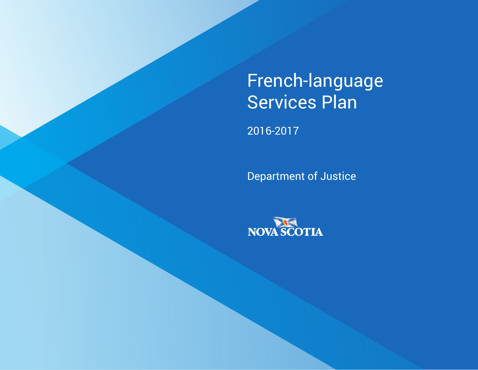# French-language Services Plan

2016-2017

Department of Justice

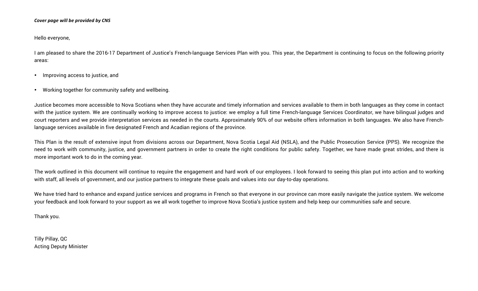#### *Cover page will be provided by CNS*

Hello everyone,

I am pleased to share the 2016-17 Department of Justice's French-language Services Plan with you. This year, the Department is continuing to focus on the following priority areas:

- Improving access to justice, and
- Working together for community safety and wellbeing.

Justice becomes more accessible to Nova Scotians when they have accurate and timely information and services available to them in both languages as they come in contact with the justice system. We are continually working to improve access to justice: we employ a full time French-language Services Coordinator, we have bilingual judges and court reporters and we provide interpretation services as needed in the courts. Approximately 90% of our website offers information in both languages. We also have Frenchlanguage services available in five designated French and Acadian regions of the province.

This Plan is the result of extensive input from divisions across our Department, Nova Scotia Legal Aid (NSLA), and the Public Prosecution Service (PPS). We recognize the need to work with community, justice, and government partners in order to create the right conditions for public safety. Together, we have made great strides, and there is more important work to do in the coming year.

The work outlined in this document will continue to require the engagement and hard work of our employees. I look forward to seeing this plan put into action and to working with staff, all levels of government, and our justice partners to integrate these goals and values into our day-to-day operations.

We have tried hard to enhance and expand justice services and programs in French so that everyone in our province can more easily navigate the justice system. We welcome your feedback and look forward to your support as we all work together to improve Nova Scotia's justice system and help keep our communities safe and secure.

Thank you.

Tilly Pillay, QC Acting Deputy Minister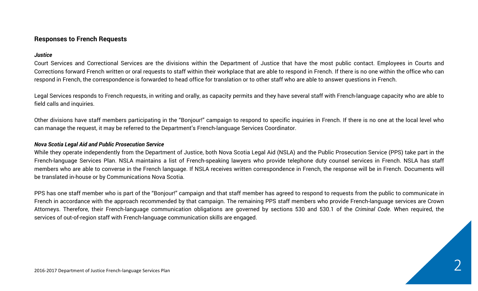#### **Responses to French Requests**

#### *Justice*

Court Services and Correctional Services are the divisions within the Department of Justice that have the most public contact. Employees in Courts and Corrections forward French written or oral requests to staff within their workplace that are able to respond in French. If there is no one within the office who can respond in French, the correspondence is forwarded to head office for translation or to other staff who are able to answer questions in French.

Legal Services responds to French requests, in writing and orally, as capacity permits and they have several staff with French-language capacity who are able to field calls and inquiries.

Other divisions have staff members participating in the "Bonjour!" campaign to respond to specific inquiries in French. If there is no one at the local level who can manage the request, it may be referred to the Department's French-language Services Coordinator.

#### *Nova Scotia Legal Aid and Public Prosecution Service*

While they operate independently from the Department of Justice, both Nova Scotia Legal Aid (NSLA) and the Public Prosecution Service (PPS) take part in the French-language Services Plan. NSLA maintains a list of French-speaking lawyers who provide telephone duty counsel services in French. NSLA has staff members who are able to converse in the French language. If NSLA receives written correspondence in French, the response will be in French. Documents will be translated in-house or by Communications Nova Scotia.

PPS has one staff member who is part of the "Bonjour!" campaign and that staff member has agreed to respond to requests from the public to communicate in French in accordance with the approach recommended by that campaign. The remaining PPS staff members who provide French-language services are Crown Attorneys. Therefore, their French-language communication obligations are governed by sections 530 and 530.1 of the *Criminal Code*. When required, the services of out-of-region staff with French-language communication skills are engaged.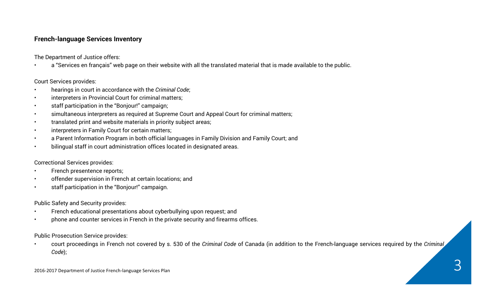### **French-language Services Inventory**

The Department of Justice offers:

• a "Services en français" web page on their website with all the translated material that is made available to the public.

Court Services provides:

- hearings in court in accordance with the *Criminal Code*;
- interpreters in Provincial Court for criminal matters;
- staff participation in the "Bonjour!" campaign;
- simultaneous interpreters as required at Supreme Court and Appeal Court for criminal matters;
- translated print and website materials in priority subject areas;
- interpreters in Family Court for certain matters;
- a Parent Information Program in both official languages in Family Division and Family Court; and
- bilingual staff in court administration offices located in designated areas.

Correctional Services provides:

- French presentence reports;
- offender supervision in French at certain locations; and
- staff participation in the "Bonjour!" campaign.

Public Safety and Security provides:

- French educational presentations about cyberbullying upon request; and
- phone and counter services in French in the private security and firearms offices.

Public Prosecution Service provides:

• court proceedings in French not covered by s. 530 of the *Criminal Code* of Canada (in addition to the French-language services required by the *Criminal Code*);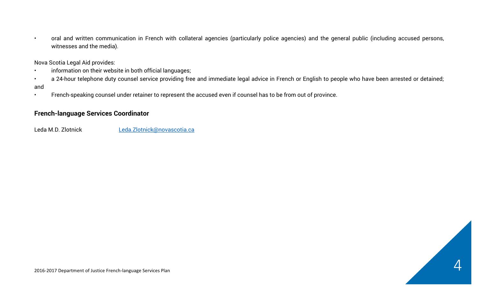• oral and written communication in French with collateral agencies (particularly police agencies) and the general public (including accused persons, witnesses and the media).

Nova Scotia Legal Aid provides:

- information on their website in both official languages;
- a 24-hour telephone duty counsel service providing free and immediate legal advice in French or English to people who have been arrested or detained; and
- French-speaking counsel under retainer to represent the accused even if counsel has to be from out of province.

## **French-language Services Coordinator**

Leda M.D. Zlotnick Leda.Zlotnick@novascotia.ca

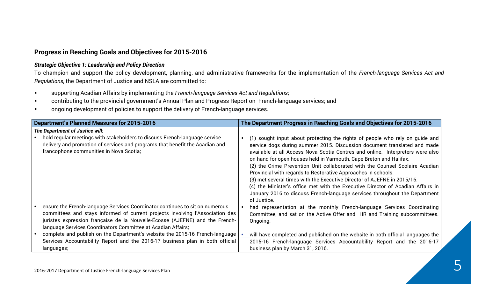#### **Progress in Reaching Goals and Objectives for 2015-2016**

#### *Strategic Objective 1: Leadership and Policy Direction*

To champion and support the policy development, planning, and administrative frameworks for the implementation of the *French-language Services Act and Regulations*, the Department of Justice and NSLA are committed to:

- § supporting Acadian Affairs by implementing the *French-language Services Act and Regulations*;
- contributing to the provincial government's Annual Plan and Progress Report on French-language services; and
- ongoing development of policies to support the delivery of French-language services.

| Department's Planned Measures for 2015-2016                                                                                                                                                                                                                                                                   | The Department Progress in Reaching Goals and Objectives for 2015-2016                                                                                                                                                                                                                                                                                                                                                                                                                                                                                                                                                                                                                                                       |  |  |
|---------------------------------------------------------------------------------------------------------------------------------------------------------------------------------------------------------------------------------------------------------------------------------------------------------------|------------------------------------------------------------------------------------------------------------------------------------------------------------------------------------------------------------------------------------------------------------------------------------------------------------------------------------------------------------------------------------------------------------------------------------------------------------------------------------------------------------------------------------------------------------------------------------------------------------------------------------------------------------------------------------------------------------------------------|--|--|
| The Department of Justice will:                                                                                                                                                                                                                                                                               |                                                                                                                                                                                                                                                                                                                                                                                                                                                                                                                                                                                                                                                                                                                              |  |  |
| hold regular meetings with stakeholders to discuss French-language service<br>delivery and promotion of services and programs that benefit the Acadian and<br>francophone communities in Nova Scotia;                                                                                                         | (1) sought input about protecting the rights of people who rely on guide and<br>service dogs during summer 2015. Discussion document translated and made<br>available at all Access Nova Scotia Centres and online. Interpreters were also<br>on hand for open houses held in Yarmouth, Cape Breton and Halifax.<br>(2) the Crime Prevention Unit collaborated with the Counsel Scolaire Acadian<br>Provincial with regards to Restorative Approaches in schools.<br>(3) met several times with the Executive Director of AJEFNE in 2015/16.<br>(4) the Minister's office met with the Executive Director of Acadian Affairs in<br>January 2016 to discuss French-language services throughout the Department<br>of Justice. |  |  |
| ensure the French-language Services Coordinator continues to sit on numerous<br>committees and stays informed of current projects involving l'Association des<br>juristes expression française de la Nouvelle-Écosse (AJEFNE) and the French-<br>language Services Coordinators Committee at Acadian Affairs; | had representation at the monthly French-language Services Coordinating<br>Committee, and sat on the Active Offer and HR and Training subcommittees.<br>Ongoing.                                                                                                                                                                                                                                                                                                                                                                                                                                                                                                                                                             |  |  |
| complete and publish on the Department's website the 2015-16 French-language<br>Services Accountability Report and the 2016-17 business plan in both official<br>languages;                                                                                                                                   | will have completed and published on the website in both official languages the<br>2015-16 French-language Services Accountability Report and the 2016-17<br>business plan by March 31, 2016.                                                                                                                                                                                                                                                                                                                                                                                                                                                                                                                                |  |  |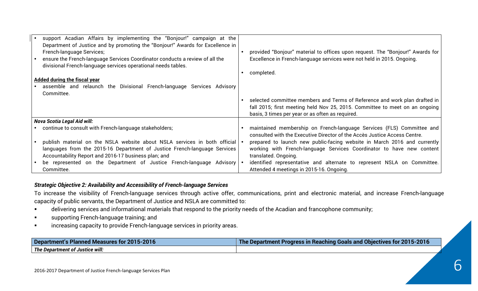| support Acadian Affairs by implementing the "Bonjour!" campaign at the<br>Department of Justice and by promoting the "Bonjour!" Awards for Excellence in<br>French-language Services;<br>ensure the French-language Services Coordinator conducts a review of all the<br>divisional French-language services operational needs tables.<br><b>Added during the fiscal year</b><br>assemble and relaunch the Divisional French-language Services Advisory<br>Committee. | provided "Bonjour" material to offices upon request. The "Bonjour!" Awards for<br>Excellence in French-language services were not held in 2015. Ongoing.<br>completed.<br>selected committee members and Terms of Reference and work plan drafted in<br>fall 2015; first meeting held Nov 25, 2015. Committee to meet on an ongoing<br>basis, 3 times per year or as often as required. |
|-----------------------------------------------------------------------------------------------------------------------------------------------------------------------------------------------------------------------------------------------------------------------------------------------------------------------------------------------------------------------------------------------------------------------------------------------------------------------|-----------------------------------------------------------------------------------------------------------------------------------------------------------------------------------------------------------------------------------------------------------------------------------------------------------------------------------------------------------------------------------------|
| <b>Nova Scotia Legal Aid will:</b>                                                                                                                                                                                                                                                                                                                                                                                                                                    |                                                                                                                                                                                                                                                                                                                                                                                         |
| continue to consult with French-language stakeholders;                                                                                                                                                                                                                                                                                                                                                                                                                | maintained membership on French-language Services (FLS) Committee and<br>consulted with the Executive Director of the Accès Justice Access Centre.                                                                                                                                                                                                                                      |
| publish material on the NSLA website about NSLA services in both official<br>languages from the 2015-16 Department of Justice French-language Services<br>Accountability Report and 2016-17 business plan; and                                                                                                                                                                                                                                                        | prepared to launch new public-facing website in March 2016 and currently<br>working with French-language Services Coordinator to have new content<br>translated. Ongoing.                                                                                                                                                                                                               |
| be represented on the Department of Justice French-language Advisory<br>Committee.                                                                                                                                                                                                                                                                                                                                                                                    | identified representative and alternate to represent NSLA on Committee.<br>Attended 4 meetings in 2015-16. Ongoing.                                                                                                                                                                                                                                                                     |

#### *Strategic Objective 2: Availability and Accessibility of French-language Services*

To increase the visibility of French-language services through active offer, communications, print and electronic material, and increase French-language capacity of public servants, the Department of Justice and NSLA are committed to:

- delivering services and informational materials that respond to the priority needs of the Acadian and francophone community;
- **Example 3** supporting French-language training; and
- increasing capacity to provide French-language services in priority areas.

| Department's<br>nt's Planned Measures for 2015-2016 | 2015-2016<br>l Obiectives for<br>: Progress in Reaching Goals and (<br>Department |
|-----------------------------------------------------|-----------------------------------------------------------------------------------|
| The Department of Justice will:                     |                                                                                   |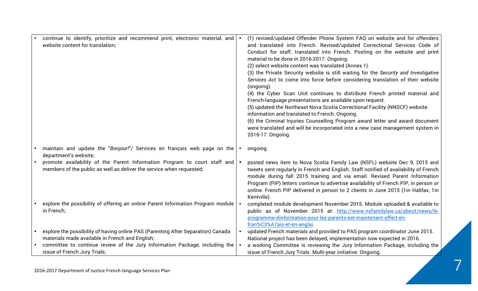| continue to identify, prioritize and recommend print, electronic material, and<br>website content for translation; | (1) revised/updated Offender Phone System FAQ on website and for offenders<br>and translated into French. Revised/updated Correctional Services Code of             |
|--------------------------------------------------------------------------------------------------------------------|---------------------------------------------------------------------------------------------------------------------------------------------------------------------|
|                                                                                                                    | Conduct for staff, translated into French. Posting on the website and print                                                                                         |
|                                                                                                                    | material to be done in 2016-2017. Ongoing.                                                                                                                          |
|                                                                                                                    | (2) select website content was translated (Annex 1).                                                                                                                |
|                                                                                                                    | (3) the Private Security website is still waiting for the Security and Investigative                                                                                |
|                                                                                                                    | Services Act to come into force before considering translation of their website<br>(ongoing).                                                                       |
|                                                                                                                    | (4) the Cyber Scan Unit continues to distribute French printed material and                                                                                         |
|                                                                                                                    | French-language presentations are available upon request.                                                                                                           |
|                                                                                                                    | (5) updated the Northeast Nova Scotia Correctional Facility (NNSCF) website<br>information and translated to French. Ongoing.                                       |
|                                                                                                                    | (6) the Criminal Injuries Counselling Program award letter and award document                                                                                       |
|                                                                                                                    | were translated and will be incorporated into a new case management system in                                                                                       |
|                                                                                                                    | 2016-17. Ongoing.                                                                                                                                                   |
| maintain and update the "Bonjour!"/ Services en français web page on the<br>department's website;                  | ongoing.                                                                                                                                                            |
| promote availability of the Parent Information Program to court staff and                                          | posted news item to Nova Scotia Family Law (NSFL) website Dec 9, 2015 and                                                                                           |
| members of the public as well as deliver the service when requested;                                               | tweets sent regularly in French and English. Staff notified of availability of French<br>module during fall 2015 training and via email. Revised Parent Information |
|                                                                                                                    | Program (PIP) letters continue to advertise availability of French PIP, in person or                                                                                |
|                                                                                                                    | online. French PIP delivered in person to 2 clients in June 2015 (1in Halifax, 1in                                                                                  |
|                                                                                                                    | Kentville).                                                                                                                                                         |
| explore the possibility of offering an online Parent Information Program module                                    | completed module development November 2015. Module uploaded & available to                                                                                          |
| in French;                                                                                                         | public as of November 2015 at: http://www.nsfamilylaw.ca/about/news/le-                                                                                             |
|                                                                                                                    | programme-dinformation-pour-les-parents-est-maintenant-offert-en-                                                                                                   |
|                                                                                                                    | fran%C3%A7ais-et-en-anglai.                                                                                                                                         |
| explore the possibility of having online PAS (Parenting After Separation) Canada                                   | updated French materials and provided to PAS program coordinator June 2015.                                                                                         |
| materials made available in French and English;                                                                    | National project has been delayed, implementation now expected in 2016.                                                                                             |
| committee to continue review of the Jury Information Package, including the                                        | a working Committee is reviewing the Jury Information Package, including the                                                                                        |
| issue of French Jury Trials;                                                                                       | issue of French Jury Trials. Multi-year initiative. Ongoing.                                                                                                        |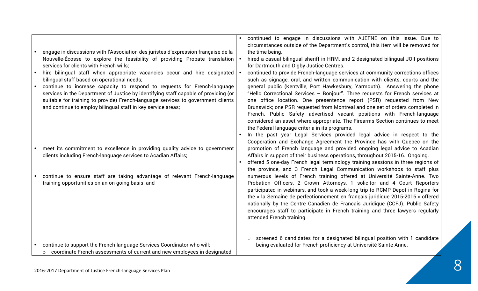| engage in discussions with l'Association des juristes d'expression française de la<br>Nouvelle-Écosse to explore the feasibility of providing Probate translation<br>services for clients with French wills;<br>hire bilingual staff when appropriate vacancies occur and hire designated<br>bilingual staff based on operational needs;<br>continue to increase capacity to respond to requests for French-language<br>services in the Department of Justice by identifying staff capable of providing (or<br>suitable for training to provide) French-language services to government clients<br>and continue to employ bilingual staff in key service areas; | continued to engage in discussions with AJEFNE on this issue. Due to<br>circumstances outside of the Department's control, this item will be removed for<br>the time being.<br>hired a casual bilingual sheriff in HRM, and 2 designated bilingual JOII positions<br>for Dartmouth and Digby Justice Centres.<br>continued to provide French-language services at community corrections offices<br>such as signage, oral, and written communication with clients, courts and the<br>general public (Kentville, Port Hawkesbury, Yarmouth). Answering the phone<br>"Hello Correctional Services - Bonjour". Three requests for French services at<br>one office location. One presentence report (PSR) requested from New<br>Brunswick; one PSR requested from Montreal and one set of orders completed in<br>French. Public Safety advertised vacant positions with French-language<br>considered an asset where appropriate. The Firearms Section continues to meet<br>the Federal language criteria in its programs.<br>In the past year Legal Services provided legal advice in respect to the |
|-----------------------------------------------------------------------------------------------------------------------------------------------------------------------------------------------------------------------------------------------------------------------------------------------------------------------------------------------------------------------------------------------------------------------------------------------------------------------------------------------------------------------------------------------------------------------------------------------------------------------------------------------------------------|---------------------------------------------------------------------------------------------------------------------------------------------------------------------------------------------------------------------------------------------------------------------------------------------------------------------------------------------------------------------------------------------------------------------------------------------------------------------------------------------------------------------------------------------------------------------------------------------------------------------------------------------------------------------------------------------------------------------------------------------------------------------------------------------------------------------------------------------------------------------------------------------------------------------------------------------------------------------------------------------------------------------------------------------------------------------------------------------------|
| meet its commitment to excellence in providing quality advice to government<br>clients including French-language services to Acadian Affairs;                                                                                                                                                                                                                                                                                                                                                                                                                                                                                                                   | Cooperation and Exchange Agreement the Province has with Quebec on the<br>promotion of French language and provided ongoing legal advice to Acadian<br>Affairs in support of their business operations, throughout 2015-16. Ongoing.<br>offered 5 one-day French legal terminology training sessions in three regions of                                                                                                                                                                                                                                                                                                                                                                                                                                                                                                                                                                                                                                                                                                                                                                          |
| continue to ensure staff are taking advantage of relevant French-language<br>training opportunities on an on-going basis; and                                                                                                                                                                                                                                                                                                                                                                                                                                                                                                                                   | the province, and 3 French Legal Communication workshops to staff plus<br>numerous levels of French training offered at Université Sainte-Anne. Two<br>Probation Officers, 2 Crown Attorneys, 1 solicitor and 4 Court Reporters<br>participated in webinars, and took a week-long trip to RCMP Depot in Regina for<br>the « la Semaine de perfectionnement en français juridique 2015-2016 » offered<br>nationally by the Centre Canadien de Francais Juridique (CCFJ). Public Safety<br>encourages staff to participate in French training and three lawyers regularly<br>attended French training.                                                                                                                                                                                                                                                                                                                                                                                                                                                                                              |
| continue to support the French-language Services Coordinator who will:<br>o coordinate French assessments of current and new employees in designated                                                                                                                                                                                                                                                                                                                                                                                                                                                                                                            | screened 6 candidates for a designated bilingual position with 1 candidate<br>$\circ$<br>being evaluated for French proficiency at Université Sainte-Anne.                                                                                                                                                                                                                                                                                                                                                                                                                                                                                                                                                                                                                                                                                                                                                                                                                                                                                                                                        |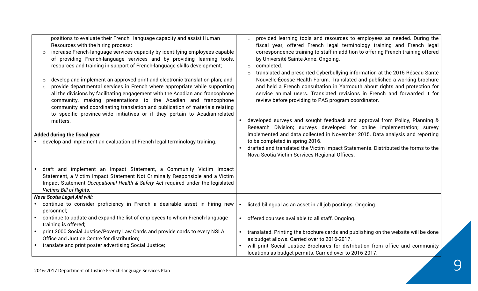| positions to evaluate their French-language capacity and assist Human<br>Resources with the hiring process;<br>increase French-language services capacity by identifying employees capable<br>$\circ$<br>of providing French-language services and by providing learning tools,<br>resources and training in support of French-language skills development;<br>develop and implement an approved print and electronic translation plan; and<br>$\circ$<br>provide departmental services in French where appropriate while supporting<br>$\circ$<br>all the divisions by facilitating engagement with the Acadian and francophone<br>community, making presentations to the Acadian and francophone<br>community and coordinating translation and publication of materials relating<br>to specific province-wide initiatives or if they pertain to Acadian-related<br>matters.<br><b>Added during the fiscal year</b><br>develop and implement an evaluation of French legal terminology training. | provided learning tools and resources to employees as needed. During the<br>$\circ$<br>fiscal year, offered French legal terminology training and French legal<br>correspondence training to staff in addition to offering French training offered<br>by Université Sainte-Anne. Ongoing.<br>completed.<br>$\circ$<br>translated and presented Cyberbullying information at the 2015 Réseau Santé<br>Nouvelle-Écosse Health Forum. Translated and published a working brochure<br>and held a French consultation in Yarmouth about rights and protection for<br>service animal users. Translated revisions in French and forwarded it for<br>review before providing to PAS program coordinator.<br>developed surveys and sought feedback and approval from Policy, Planning &<br>Research Division; surveys developed for online implementation; survey<br>implemented and data collected in November 2015. Data analysis and reporting<br>to be completed in spring 2016.<br>drafted and translated the Victim Impact Statements. Distributed the forms to the<br>$\bullet$<br>Nova Scotia Victim Services Regional Offices. |
|---------------------------------------------------------------------------------------------------------------------------------------------------------------------------------------------------------------------------------------------------------------------------------------------------------------------------------------------------------------------------------------------------------------------------------------------------------------------------------------------------------------------------------------------------------------------------------------------------------------------------------------------------------------------------------------------------------------------------------------------------------------------------------------------------------------------------------------------------------------------------------------------------------------------------------------------------------------------------------------------------|--------------------------------------------------------------------------------------------------------------------------------------------------------------------------------------------------------------------------------------------------------------------------------------------------------------------------------------------------------------------------------------------------------------------------------------------------------------------------------------------------------------------------------------------------------------------------------------------------------------------------------------------------------------------------------------------------------------------------------------------------------------------------------------------------------------------------------------------------------------------------------------------------------------------------------------------------------------------------------------------------------------------------------------------------------------------------------------------------------------------------------|
| draft and implement an Impact Statement, a Community Victim Impact<br>Statement, a Victim Impact Statement Not Criminally Responsible and a Victim<br>Impact Statement Occupational Health & Safety Act required under the legislated<br><b>Victims Bill of Rights.</b>                                                                                                                                                                                                                                                                                                                                                                                                                                                                                                                                                                                                                                                                                                                           |                                                                                                                                                                                                                                                                                                                                                                                                                                                                                                                                                                                                                                                                                                                                                                                                                                                                                                                                                                                                                                                                                                                                |
| <b>Nova Scotia Legal Aid will:</b>                                                                                                                                                                                                                                                                                                                                                                                                                                                                                                                                                                                                                                                                                                                                                                                                                                                                                                                                                                |                                                                                                                                                                                                                                                                                                                                                                                                                                                                                                                                                                                                                                                                                                                                                                                                                                                                                                                                                                                                                                                                                                                                |
| continue to consider proficiency in French a desirable asset in hiring new<br>personnel;                                                                                                                                                                                                                                                                                                                                                                                                                                                                                                                                                                                                                                                                                                                                                                                                                                                                                                          | listed bilingual as an asset in all job postings. Ongoing.                                                                                                                                                                                                                                                                                                                                                                                                                                                                                                                                                                                                                                                                                                                                                                                                                                                                                                                                                                                                                                                                     |
| continue to update and expand the list of employees to whom French-language<br>training is offered;                                                                                                                                                                                                                                                                                                                                                                                                                                                                                                                                                                                                                                                                                                                                                                                                                                                                                               | offered courses available to all staff. Ongoing.                                                                                                                                                                                                                                                                                                                                                                                                                                                                                                                                                                                                                                                                                                                                                                                                                                                                                                                                                                                                                                                                               |
| print 2000 Social Justice/Poverty Law Cards and provide cards to every NSLA<br>Office and Justice Centre for distribution;                                                                                                                                                                                                                                                                                                                                                                                                                                                                                                                                                                                                                                                                                                                                                                                                                                                                        | translated. Printing the brochure cards and publishing on the website will be done<br>as budget allows. Carried over to 2016-2017.                                                                                                                                                                                                                                                                                                                                                                                                                                                                                                                                                                                                                                                                                                                                                                                                                                                                                                                                                                                             |
| translate and print poster advertising Social Justice;                                                                                                                                                                                                                                                                                                                                                                                                                                                                                                                                                                                                                                                                                                                                                                                                                                                                                                                                            | will print Social Justice Brochures for distribution from office and community<br>locations as budget permits. Carried over to 2016-2017.                                                                                                                                                                                                                                                                                                                                                                                                                                                                                                                                                                                                                                                                                                                                                                                                                                                                                                                                                                                      |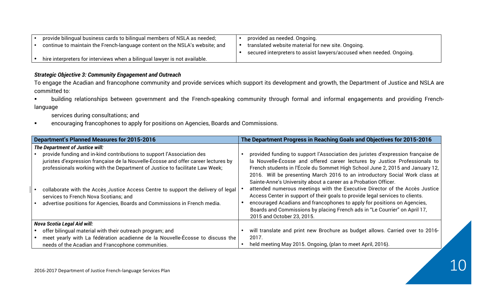| provide bilingual business cards to bilingual members of NSLA as needed;    | provided as needed. Ongoing.                                         |
|-----------------------------------------------------------------------------|----------------------------------------------------------------------|
| continue to maintain the French-language content on the NSLA's website; and | translated website material for new site. Ongoing.                   |
|                                                                             | secured interpreters to assist lawyers/accused when needed. Ongoing. |
| hire interpreters for interviews when a bilingual lawyer is not available.  |                                                                      |

#### *Strategic Objective 3: Community Engagement and Outreach*

To engage the Acadian and francophone community and provide services which support its development and growth, the Department of Justice and NSLA are committed to:

§ building relationships between government and the French-speaking community through formal and informal engagements and providing Frenchlanguage

services during consultations; and

■ encouraging francophones to apply for positions on Agencies, Boards and Commissions.

| <b>Department's Planned Measures for 2015-2016</b>                                                                                                                                                                                                                                                                                                                                                                                                                                         | The Department Progress in Reaching Goals and Objectives for 2015-2016                                                                                                                                                                                                                                                                                                                                                                                                                                                                                                                                                                                                                                                                                    |
|--------------------------------------------------------------------------------------------------------------------------------------------------------------------------------------------------------------------------------------------------------------------------------------------------------------------------------------------------------------------------------------------------------------------------------------------------------------------------------------------|-----------------------------------------------------------------------------------------------------------------------------------------------------------------------------------------------------------------------------------------------------------------------------------------------------------------------------------------------------------------------------------------------------------------------------------------------------------------------------------------------------------------------------------------------------------------------------------------------------------------------------------------------------------------------------------------------------------------------------------------------------------|
| The Department of Justice will:<br>provide funding and in-kind contributions to support l'Association des<br>juristes d'expression française de la Nouvelle-Écosse and offer career lectures by<br>professionals working with the Department of Justice to facilitate Law Week;<br>collaborate with the Accès_Justice Access Centre to support the delivery of legal<br>services to French Nova Scotians; and<br>advertise positions for Agencies, Boards and Commissions in French media. | provided funding to support l'Association des juristes d'expression française de<br>la Nouvelle-Écosse and offered career lectures by Justice Professionals to<br>French students in l'École du Sommet High School June 2, 2015 and January 12,<br>2016. Will be presenting March 2016 to an introductory Social Work class at<br>Sainte-Anne's University about a career as a Probation Officer.<br>attended numerous meetings with the Executive Director of the Accès Justice<br>Access Center in support of their goals to provide legal services to clients.<br>encouraged Acadians and francophones to apply for positions on Agencies,<br>Boards and Commissions by placing French ads in "Le Courrier" on April 17,<br>2015 and October 23, 2015. |
| <b>Nova Scotia Legal Aid will:</b>                                                                                                                                                                                                                                                                                                                                                                                                                                                         |                                                                                                                                                                                                                                                                                                                                                                                                                                                                                                                                                                                                                                                                                                                                                           |
| offer bilingual material with their outreach program; and                                                                                                                                                                                                                                                                                                                                                                                                                                  | will translate and print new Brochure as budget allows. Carried over to 2016-                                                                                                                                                                                                                                                                                                                                                                                                                                                                                                                                                                                                                                                                             |
| meet yearly with La fédération acadienne de la Nouvelle-Écosse to discuss the                                                                                                                                                                                                                                                                                                                                                                                                              | 2017.                                                                                                                                                                                                                                                                                                                                                                                                                                                                                                                                                                                                                                                                                                                                                     |
| needs of the Acadian and Francophone communities.                                                                                                                                                                                                                                                                                                                                                                                                                                          | held meeting May 2015. Ongoing, (plan to meet April, 2016).                                                                                                                                                                                                                                                                                                                                                                                                                                                                                                                                                                                                                                                                                               |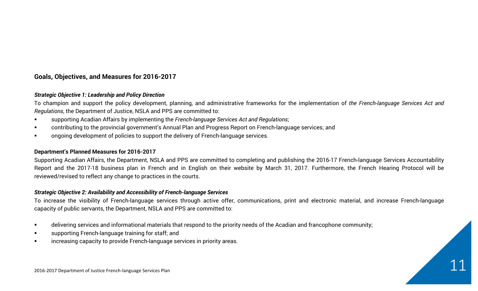## **Goals, Objectives, and Measures for 2016-2017**

#### *Strategic Objective 1: Leadership and Policy Direction*

To champion and support the policy development, planning, and administrative frameworks for the implementation of *the French-language Services Act and Regulations*, the Department of Justice, NSLA and PPS are committed to:

- supporting Acadian Affairs by implementing the *French-language Services Act and Regulations*;
- contributing to the provincial government's Annual Plan and Progress Report on French-language services; and
- ongoing development of policies to support the delivery of French-language services.

#### **Department's Planned Measures for 2016-2017**

Supporting Acadian Affairs, the Department, NSLA and PPS are committed to completing and publishing the 2016-17 French-language Services Accountability Report and the 2017-18 business plan in French and in English on their website by March 31, 2017. Furthermore, the French Hearing Protocol will be reviewed/revised to reflect any change to practices in the courts.

#### *Strategic Objective 2: Availability and Accessibility of French-language Services*

To increase the visibility of French-language services through active offer, communications, print and electronic material, and increase French-language capacity of public servants, the Department, NSLA and PPS are committed to:

- delivering services and informational materials that respond to the priority needs of the Acadian and francophone community;
- **Example 3** supporting French-language training for staff; and
- increasing capacity to provide French-language services in priority areas.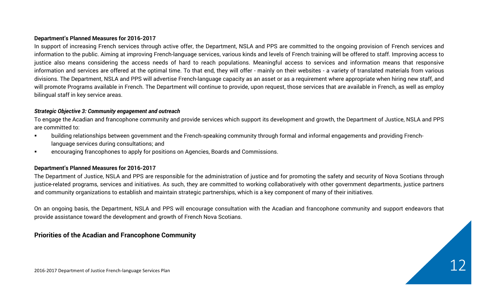#### **Department's Planned Measures for 2016-2017**

In support of increasing French services through active offer, the Department, NSLA and PPS are committed to the ongoing provision of French services and information to the public. Aiming at improving French-language services, various kinds and levels of French training will be offered to staff. Improving access to justice also means considering the access needs of hard to reach populations. Meaningful access to services and information means that responsive information and services are offered at the optimal time. To that end, they will offer - mainly on their websites - a variety of translated materials from various divisions. The Department, NSLA and PPS will advertise French-language capacity as an asset or as a requirement where appropriate when hiring new staff, and will promote Programs available in French. The Department will continue to provide, upon request, those services that are available in French, as well as employ bilingual staff in key service areas.

#### *Strategic Objective 3: Community engagement and outreach*

To engage the Acadian and francophone community and provide services which support its development and growth, the Department of Justice, NSLA and PPS are committed to:

- building relationships between government and the French-speaking community through formal and informal engagements and providing Frenchlanguage services during consultations; and
- encouraging francophones to apply for positions on Agencies, Boards and Commissions.

#### **Department's Planned Measures for 2016-2017**

The Department of Justice, NSLA and PPS are responsible for the administration of justice and for promoting the safety and security of Nova Scotians through justice-related programs, services and initiatives. As such, they are committed to working collaboratively with other government departments, justice partners and community organizations to establish and maintain strategic partnerships, which is a key component of many of their initiatives.

On an ongoing basis, the Department, NSLA and PPS will encourage consultation with the Acadian and francophone community and support endeavors that provide assistance toward the development and growth of French Nova Scotians.

#### **Priorities of the Acadian and Francophone Community**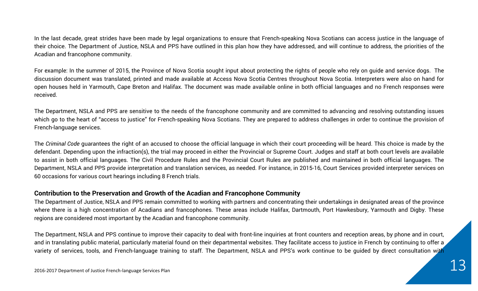# In the last decade, great strides have been made by legal organizations to ensure that French-speaking Nova Scotians can access justice in the language of

their choice. The Department of Justice, NSLA and PPS have outlined in this plan how they have addressed, and will continue to address, the priorities of the Acadian and francophone community.

For example: In the summer of 2015, the Province of Nova Scotia sought input about protecting the rights of people who rely on guide and service dogs. The discussion document was translated, printed and made available at Access Nova Scotia Centres throughout Nova Scotia. Interpreters were also on hand for open houses held in Yarmouth, Cape Breton and Halifax. The document was made available online in both official languages and no French responses were received.

The Department, NSLA and PPS are sensitive to the needs of the francophone community and are committed to advancing and resolving outstanding issues which go to the heart of "access to justice" for French-speaking Nova Scotians. They are prepared to address challenges in order to continue the provision of French-language services.

The *Criminal Code* guarantees the right of an accused to choose the official language in which their court proceeding will be heard. This choice is made by the defendant. Depending upon the infraction(s), the trial may proceed in either the Provincial or Supreme Court. Judges and staff at both court levels are available to assist in both official languages. The Civil Procedure Rules and the Provincial Court Rules are published and maintained in both official languages. The Department, NSLA and PPS provide interpretation and translation services, as needed. For instance, in 2015-16, Court Services provided interpreter services on 60 occasions for various court hearings including 8 French trials.

# **Contribution to the Preservation and Growth of the Acadian and Francophone Community**

The Department of Justice, NSLA and PPS remain committed to working with partners and concentrating their undertakings in designated areas of the province where there is a high concentration of Acadians and francophones. These areas include Halifax, Dartmouth, Port Hawkesbury, Yarmouth and Digby. These regions are considered most important by the Acadian and francophone community.

The Department, NSLA and PPS continue to improve their capacity to deal with front-line inquiries at front counters and reception areas, by phone and in court, and in translating public material, particularly material found on their departmental websites. They facilitate access to justice in French by continuing to offer a variety of services, tools, and French-language training to staff. The Department, NSLA and PPS's work continue to be guided by direct consultation with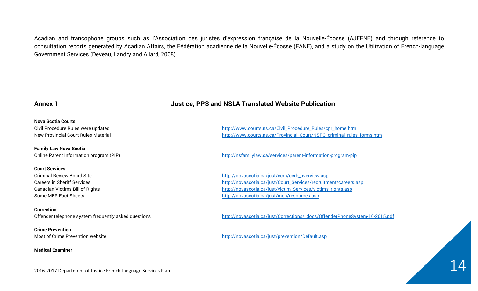Acadian and francophone groups such as l'Association des juristes d'expression française de la Nouvelle-Écosse (AJEFNE) and through reference to consultation reports generated by Acadian Affairs, the Fédération acadienne de la Nouvelle-Écosse (FANE), and a study on the Utilization of French-language Government Services (Deveau, Landry and Allard, 2008).

#### **Nova Scotia Courts**

**Family Law Nova Scotia** 

#### **Court Services**

**Correction**

**Crime Prevention**

**Medical Examiner**

#### Annex 1 **Annex 1** *Annex 1 Annex 1**<b>Annex 1 <i>Annex 1 Annex 1 Annex 1 Annex 1 Annex 1**Annex 1**Annex 1**Annex 1**Annex 1**Annex 1**Annex 1**Annex 1**Annex 1**Annex 1**Annex 1**Annex 1*

Civil Procedure Rules were updated http://www.courts.ns.ca/Civil\_Procedure\_Rules/cpr\_home.htm New Provincial Court Rules Material http://www.courts.ns.ca/Provincial\_Court/NSPC\_criminal\_rules\_forms.htm

Online Parent Information program (PIP) http://nsfamilylaw.ca/services/parent-information-program-pip

Criminal Review Board Site http://novascotia.ca/just/ccrb/ccrb\_overview.asp Careers in Sheriff Services http://novascotia.ca/just/Court\_Services/recruitment/careers.asp Canadian Victims Bill of Rights http://novascotia.ca/just/victim\_Services/victims\_rights.asp Some MEP Fact Sheets http://novascotia.ca/just/mep/resources.asp

Offender telephone system frequently asked questions http://novascotia.ca/just/Corrections/\_docs/OffenderPhoneSystem-10-2015.pdf

Most of Crime Prevention website http://novascotia.ca/just/prevention/Default.asp

2016-2017 Department of Justice French-language Services Plan  $14$